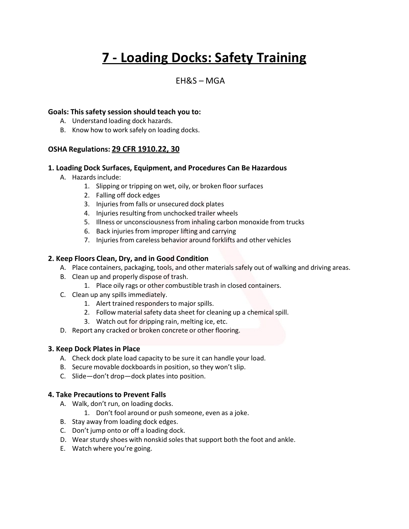# **7 - Loading Docks: Safety Training**

# $FHRS - MGA$

#### **Goals: This safety session should teach you to:**

- A. Understand loading dock hazards.
- B. Know how to work safely on loading docks.

# **OSHA Regulations: 29 CFR 1910.22, 30**

#### **1. Loading Dock Surfaces, Equipment, and Procedures Can Be Hazardous**

- A. Hazards include:
	- 1. Slipping or tripping on wet, oily, or broken floor surfaces
	- 2. Falling off dock edges
	- 3. Injuries from falls or unsecured dock plates
	- 4. Injuries resulting from unchocked trailer wheels
	- 5. Illness or unconsciousnessfrom inhaling carbon monoxide from trucks
	- 6. Back injuries from improper lifting and carrying
	- 7. Injuries from careless behavior around forklifts and other vehicles

#### **2. Keep Floors Clean, Dry, and in Good Condition**

- A. Place containers, packaging, tools, and other materials safely out of walking and driving areas.
- B. Clean up and properly dispose of trash.
	- 1. Place oily rags or other combustible trash in closed containers.
- C. Clean up any spills immediately.
	- 1. Alert trained responders to major spills.
	- 2. Follow material safety data sheet for cleaning up a chemical spill.
	- 3. Watch out for dripping rain, melting ice, etc.
- D. Report any cracked or broken concrete or other flooring.

#### **3. Keep Dock Plates in Place**

- A. Check dock plate load capacity to be sure it can handle your load.
- B. Secure movable dockboards in position, so they won't slip.
- C. Slide—don't drop—dock plates into position.

# **4. Take Precautionsto Prevent Falls**

- A. Walk, don't run, on loading docks.
	- 1. Don't fool around or push someone, even as a joke.
- B. Stay away from loading dock edges.
- C. Don't jump onto or off a loading dock.
- D. Wear sturdy shoes with nonskid soles that support both the foot and ankle.
- E. Watch where you're going.